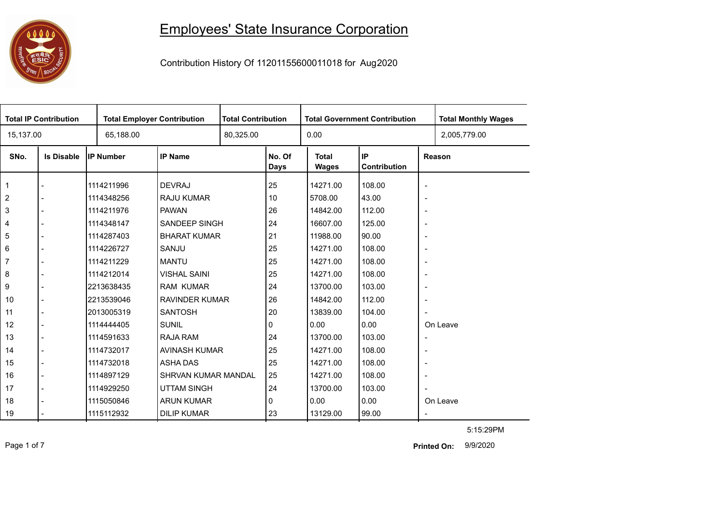## Employees' State Insurance Corporation



Contribution History Of 11201155600011018 for Aug2020

| <b>Total IP Contribution</b> |                   | <b>Total Employer Contribution</b> |                       | <b>Total Contribution</b> | <b>Total Government Contribution</b> |                              |                    |                          | <b>Total Monthly Wages</b> |
|------------------------------|-------------------|------------------------------------|-----------------------|---------------------------|--------------------------------------|------------------------------|--------------------|--------------------------|----------------------------|
| 15,137.00                    |                   | 65,188.00                          |                       |                           | 80,325.00                            |                              |                    |                          | 2,005,779.00               |
| SNo.                         | <b>Is Disable</b> | <b>IP Number</b>                   | <b>IP Name</b>        |                           | No. Of<br>Days                       | <b>Total</b><br><b>Wages</b> | IP<br>Contribution |                          | Reason                     |
| $\overline{1}$               |                   | 1114211996                         | <b>DEVRAJ</b>         |                           | 25                                   | 14271.00                     | 108.00             | $\blacksquare$           |                            |
| $\overline{c}$               |                   | 1114348256                         | <b>RAJU KUMAR</b>     |                           | 10                                   | 5708.00                      | 43.00              | $\overline{\phantom{a}}$ |                            |
| $\mathbf{3}$                 |                   | 1114211976                         | <b>PAWAN</b>          |                           | 26                                   | 14842.00                     | 112.00             | $\overline{\phantom{a}}$ |                            |
| 4                            |                   | 1114348147                         | <b>SANDEEP SINGH</b>  |                           | 24                                   | 16607.00                     | 125.00             | $\overline{\phantom{a}}$ |                            |
| 5                            |                   | 1114287403                         | <b>BHARAT KUMAR</b>   |                           | 21                                   | 11988.00                     | 90.00              | $\overline{\phantom{a}}$ |                            |
| 6                            |                   | 1114226727                         | SANJU                 |                           | 25                                   | 14271.00                     | 108.00             | $\overline{\phantom{a}}$ |                            |
| $\overline{7}$               |                   | 1114211229                         | <b>MANTU</b>          |                           | 25                                   | 14271.00                     | 108.00             | $\overline{\phantom{a}}$ |                            |
| $\bf 8$                      |                   | 1114212014                         | <b>VISHAL SAINI</b>   |                           | 25                                   | 14271.00                     | 108.00             | $\overline{\phantom{a}}$ |                            |
| 9                            |                   | 2213638435                         | <b>RAM KUMAR</b>      |                           | 24                                   | 13700.00                     | 103.00             | $\overline{\phantom{a}}$ |                            |
| 10                           |                   | 2213539046                         | <b>RAVINDER KUMAR</b> |                           | 26                                   | 14842.00                     | 112.00             | $\overline{\phantom{a}}$ |                            |
| 11                           |                   | 2013005319                         | <b>SANTOSH</b>        |                           | 20                                   | 13839.00                     | 104.00             | ÷,                       |                            |
| 12                           |                   | 1114444405                         | <b>SUNIL</b>          |                           | 0                                    | 0.00                         | 0.00               |                          | On Leave                   |
| 13                           |                   | 1114591633                         | <b>RAJA RAM</b>       |                           | 24                                   | 13700.00                     | 103.00             | $\overline{\phantom{a}}$ |                            |
| 14                           |                   | 1114732017                         | <b>AVINASH KUMAR</b>  |                           | 25                                   | 14271.00                     | 108.00             | $\overline{\phantom{a}}$ |                            |
| 15                           |                   | 1114732018                         | <b>ASHA DAS</b>       |                           | 25                                   | 14271.00                     | 108.00             | $\overline{\phantom{a}}$ |                            |
| 16                           |                   | 1114897129                         | SHRVAN KUMAR MANDAL   |                           | 25                                   | 14271.00                     | 108.00             | $\overline{\phantom{a}}$ |                            |
| 17                           |                   | 1114929250                         | <b>UTTAM SINGH</b>    |                           | 24                                   | 13700.00                     | 103.00             | ÷,                       |                            |
| 18                           |                   | 1115050846                         | <b>ARUN KUMAR</b>     |                           | 0                                    | 0.00                         | 0.00               |                          | On Leave                   |
| 19                           |                   | 1115112932                         | <b>DILIP KUMAR</b>    |                           | 23                                   | 13129.00                     | 99.00              |                          |                            |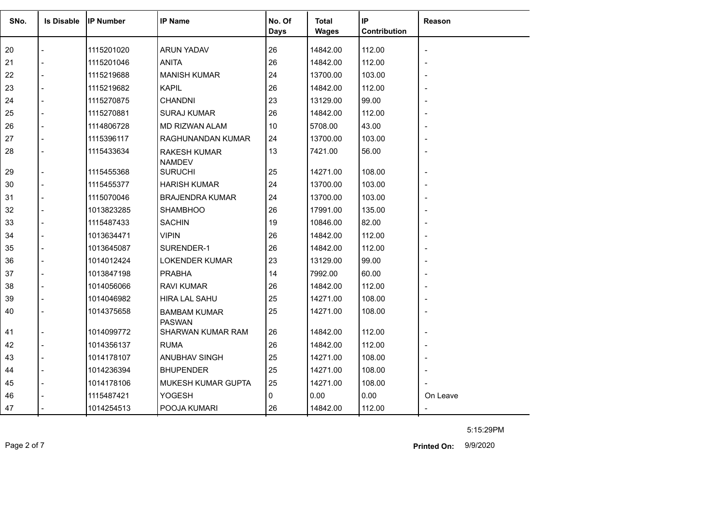| SNo. | <b>Is Disable</b> | <b>IP Number</b> | <b>IP Name</b>                       | No. Of<br>Days | Total<br><b>Wages</b> | IP<br>Contribution | Reason         |
|------|-------------------|------------------|--------------------------------------|----------------|-----------------------|--------------------|----------------|
| 20   |                   | 1115201020       | <b>ARUN YADAV</b>                    | 26             | 14842.00              | 112.00             |                |
| 21   |                   | 1115201046       | <b>ANITA</b>                         | 26             | 14842.00              | 112.00             |                |
| 22   | $\overline{a}$    | 1115219688       | <b>MANISH KUMAR</b>                  | 24             | 13700.00              | 103.00             |                |
| 23   |                   | 1115219682       | <b>KAPIL</b>                         | 26             | 14842.00              | 112.00             |                |
| 24   |                   | 1115270875       | <b>CHANDNI</b>                       | 23             | 13129.00              | 99.00              |                |
| 25   |                   | 1115270881       | <b>SURAJ KUMAR</b>                   | 26             | 14842.00              | 112.00             |                |
| 26   |                   | 1114806728       | <b>MD RIZWAN ALAM</b>                | 10             | 5708.00               | 43.00              |                |
| 27   |                   | 1115396117       | RAGHUNANDAN KUMAR                    | 24             | 13700.00              | 103.00             |                |
| 28   | $\overline{a}$    | 1115433634       | <b>RAKESH KUMAR</b>                  | 13             | 7421.00               | 56.00              |                |
| 29   |                   | 1115455368       | <b>NAMDEV</b><br><b>SURUCHI</b>      | 25             | 14271.00              | 108.00             |                |
| 30   |                   | 1115455377       | <b>HARISH KUMAR</b>                  | 24             | 13700.00              | 103.00             |                |
| 31   |                   | 1115070046       | <b>BRAJENDRA KUMAR</b>               | 24             | 13700.00              | 103.00             |                |
| 32   |                   | 1013823285       | <b>SHAMBHOO</b>                      | 26             | 17991.00              | 135.00             |                |
| 33   |                   | 1115487433       | <b>SACHIN</b>                        | 19             | 10846.00              | 82.00              |                |
| 34   |                   | 1013634471       | <b>VIPIN</b>                         | 26             | 14842.00              | 112.00             |                |
| 35   |                   | 1013645087       | SURENDER-1                           | 26             | 14842.00              | 112.00             |                |
| 36   |                   | 1014012424       | <b>LOKENDER KUMAR</b>                | 23             | 13129.00              | 99.00              |                |
| 37   |                   | 1013847198       | <b>PRABHA</b>                        | 14             | 7992.00               | 60.00              |                |
| 38   |                   | 1014056066       | <b>RAVI KUMAR</b>                    | 26             | 14842.00              | 112.00             |                |
| 39   |                   | 1014046982       | <b>HIRA LAL SAHU</b>                 | 25             | 14271.00              | 108.00             |                |
| 40   |                   | 1014375658       | <b>BAMBAM KUMAR</b><br><b>PASWAN</b> | 25             | 14271.00              | 108.00             |                |
| 41   |                   | 1014099772       | SHARWAN KUMAR RAM                    | 26             | 14842.00              | 112.00             |                |
| 42   |                   | 1014356137       | <b>RUMA</b>                          | 26             | 14842.00              | 112.00             |                |
| 43   | $\overline{a}$    | 1014178107       | ANUBHAV SINGH                        | 25             | 14271.00              | 108.00             |                |
| 44   |                   | 1014236394       | <b>BHUPENDER</b>                     | 25             | 14271.00              | 108.00             |                |
| 45   |                   | 1014178106       | MUKESH KUMAR GUPTA                   | 25             | 14271.00              | 108.00             |                |
| 46   |                   | 1115487421       | <b>YOGESH</b>                        | $\Omega$       | 0.00                  | 0.00               | On Leave       |
| 47   |                   | 1014254513       | POOJA KUMARI                         | 26             | 14842.00              | 112.00             | $\blacksquare$ |

Page 2 of 7 9/9/2020 **Printed On:**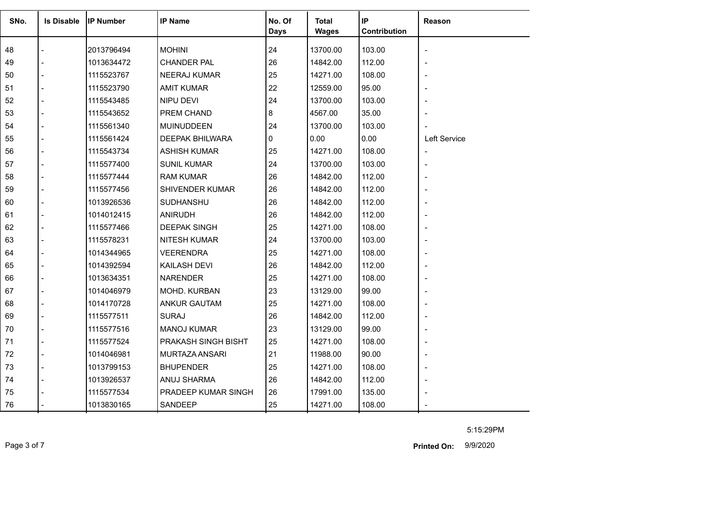| SNo. | <b>Is Disable</b> | <b>IP Number</b> | <b>IP Name</b>         | No. Of<br><b>Days</b> | <b>Total</b><br><b>Wages</b> | IP<br>Contribution | Reason                   |
|------|-------------------|------------------|------------------------|-----------------------|------------------------------|--------------------|--------------------------|
| 48   |                   | 2013796494       | <b>MOHINI</b>          | 24                    | 13700.00                     | 103.00             |                          |
| 49   |                   | 1013634472       | <b>CHANDER PAL</b>     | 26                    | 14842.00                     | 112.00             |                          |
| 50   |                   | 1115523767       | <b>NEERAJ KUMAR</b>    | 25                    | 14271.00                     | 108.00             |                          |
| 51   |                   | 1115523790       | <b>AMIT KUMAR</b>      | 22                    | 12559.00                     | 95.00              |                          |
| 52   |                   | 1115543485       | NIPU DEVI              | 24                    | 13700.00                     | 103.00             |                          |
| 53   |                   | 1115543652       | PREM CHAND             | 8                     | 4567.00                      | 35.00              |                          |
| 54   |                   | 1115561340       | <b>MUINUDDEEN</b>      | 24                    | 13700.00                     | 103.00             |                          |
| 55   |                   | 1115561424       | <b>DEEPAK BHILWARA</b> | 0                     | 0.00                         | 0.00               | Left Service             |
| 56   |                   | 1115543734       | <b>ASHISH KUMAR</b>    | 25                    | 14271.00                     | 108.00             | $\overline{\phantom{a}}$ |
| 57   |                   | 1115577400       | <b>SUNIL KUMAR</b>     | 24                    | 13700.00                     | 103.00             |                          |
| 58   |                   | 1115577444       | <b>RAM KUMAR</b>       | 26                    | 14842.00                     | 112.00             |                          |
| 59   |                   | 1115577456       | SHIVENDER KUMAR        | 26                    | 14842.00                     | 112.00             |                          |
| 60   |                   | 1013926536       | SUDHANSHU              | 26                    | 14842.00                     | 112.00             |                          |
| 61   |                   | 1014012415       | <b>ANIRUDH</b>         | 26                    | 14842.00                     | 112.00             |                          |
| 62   |                   | 1115577466       | <b>DEEPAK SINGH</b>    | 25                    | 14271.00                     | 108.00             |                          |
| 63   |                   | 1115578231       | <b>NITESH KUMAR</b>    | 24                    | 13700.00                     | 103.00             |                          |
| 64   |                   | 1014344965       | <b>VEERENDRA</b>       | 25                    | 14271.00                     | 108.00             |                          |
| 65   |                   | 1014392594       | <b>KAILASH DEVI</b>    | 26                    | 14842.00                     | 112.00             |                          |
| 66   |                   | 1013634351       | <b>NARENDER</b>        | 25                    | 14271.00                     | 108.00             |                          |
| 67   |                   | 1014046979       | MOHD. KURBAN           | 23                    | 13129.00                     | 99.00              |                          |
| 68   |                   | 1014170728       | <b>ANKUR GAUTAM</b>    | 25                    | 14271.00                     | 108.00             |                          |
| 69   |                   | 1115577511       | <b>SURAJ</b>           | 26                    | 14842.00                     | 112.00             |                          |
| 70   |                   | 1115577516       | <b>MANOJ KUMAR</b>     | 23                    | 13129.00                     | 99.00              |                          |
| 71   |                   | 1115577524       | PRAKASH SINGH BISHT    | 25                    | 14271.00                     | 108.00             |                          |
| 72   |                   | 1014046981       | MURTAZA ANSARI         | 21                    | 11988.00                     | 90.00              |                          |
| 73   |                   | 1013799153       | <b>BHUPENDER</b>       | 25                    | 14271.00                     | 108.00             |                          |
| 74   |                   | 1013926537       | ANUJ SHARMA            | 26                    | 14842.00                     | 112.00             |                          |
| 75   |                   | 1115577534       | PRADEEP KUMAR SINGH    | 26                    | 17991.00                     | 135.00             |                          |
| 76   |                   | 1013830165       | SANDEEP                | 25                    | 14271.00                     | 108.00             |                          |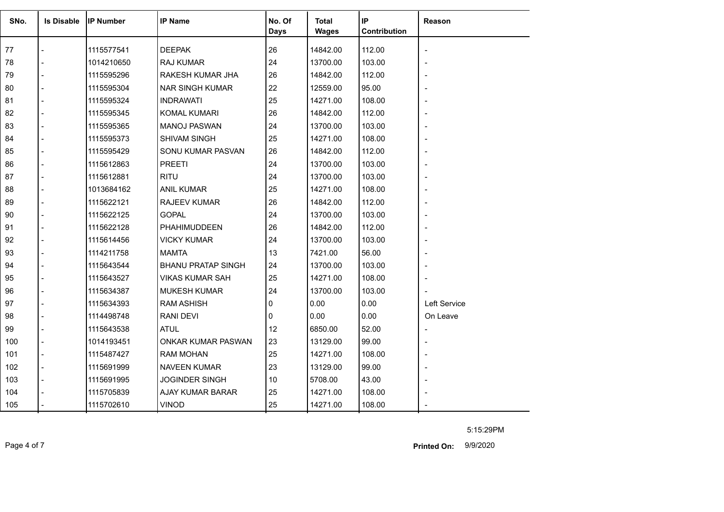| SNo. | <b>Is Disable</b> | <b>IP Number</b> | <b>IP Name</b>            | No. Of<br><b>Days</b> | <b>Total</b><br><b>Wages</b> | IP<br>Contribution | Reason         |
|------|-------------------|------------------|---------------------------|-----------------------|------------------------------|--------------------|----------------|
| 77   |                   | 1115577541       | <b>DEEPAK</b>             | 26                    | 14842.00                     | 112.00             |                |
| 78   |                   | 1014210650       | RAJ KUMAR                 | 24                    | 13700.00                     | 103.00             |                |
| 79   |                   | 1115595296       | RAKESH KUMAR JHA          | 26                    | 14842.00                     | 112.00             |                |
| 80   |                   | 1115595304       | <b>NAR SINGH KUMAR</b>    | 22                    | 12559.00                     | 95.00              |                |
| 81   |                   | 1115595324       | <b>INDRAWATI</b>          | 25                    | 14271.00                     | 108.00             |                |
| 82   |                   | 1115595345       | KOMAL KUMARI              | 26                    | 14842.00                     | 112.00             |                |
| 83   |                   | 1115595365       | <b>MANOJ PASWAN</b>       | 24                    | 13700.00                     | 103.00             |                |
| 84   |                   | 1115595373       | SHIVAM SINGH              | 25                    | 14271.00                     | 108.00             |                |
| 85   |                   | 1115595429       | SONU KUMAR PASVAN         | 26                    | 14842.00                     | 112.00             |                |
| 86   |                   | 1115612863       | <b>PREETI</b>             | 24                    | 13700.00                     | 103.00             |                |
| 87   |                   | 1115612881       | <b>RITU</b>               | 24                    | 13700.00                     | 103.00             |                |
| 88   |                   | 1013684162       | <b>ANIL KUMAR</b>         | 25                    | 14271.00                     | 108.00             |                |
| 89   |                   | 1115622121       | <b>RAJEEV KUMAR</b>       | 26                    | 14842.00                     | 112.00             | $\blacksquare$ |
| 90   |                   | 1115622125       | <b>GOPAL</b>              | 24                    | 13700.00                     | 103.00             |                |
| 91   |                   | 1115622128       | PHAHIMUDDEEN              | 26                    | 14842.00                     | 112.00             |                |
| 92   |                   | 1115614456       | <b>VICKY KUMAR</b>        | 24                    | 13700.00                     | 103.00             |                |
| 93   |                   | 1114211758       | <b>MAMTA</b>              | 13                    | 7421.00                      | 56.00              |                |
| 94   |                   | 1115643544       | <b>BHANU PRATAP SINGH</b> | 24                    | 13700.00                     | 103.00             |                |
| 95   |                   | 1115643527       | <b>VIKAS KUMAR SAH</b>    | 25                    | 14271.00                     | 108.00             |                |
| 96   |                   | 1115634387       | <b>MUKESH KUMAR</b>       | 24                    | 13700.00                     | 103.00             |                |
| 97   |                   | 1115634393       | <b>RAM ASHISH</b>         | 0                     | 0.00                         | 0.00               | Left Service   |
| 98   |                   | 1114498748       | <b>RANI DEVI</b>          | 0                     | 0.00                         | 0.00               | On Leave       |
| 99   |                   | 1115643538       | <b>ATUL</b>               | 12                    | 6850.00                      | 52.00              |                |
| 100  |                   | 1014193451       | ONKAR KUMAR PASWAN        | 23                    | 13129.00                     | 99.00              |                |
| 101  |                   | 1115487427       | <b>RAM MOHAN</b>          | 25                    | 14271.00                     | 108.00             |                |
| 102  |                   | 1115691999       | <b>NAVEEN KUMAR</b>       | 23                    | 13129.00                     | 99.00              |                |
| 103  |                   | 1115691995       | <b>JOGINDER SINGH</b>     | 10                    | 5708.00                      | 43.00              |                |
| 104  |                   | 1115705839       | AJAY KUMAR BARAR          | 25                    | 14271.00                     | 108.00             |                |
| 105  |                   | 1115702610       | <b>VINOD</b>              | 25                    | 14271.00                     | 108.00             |                |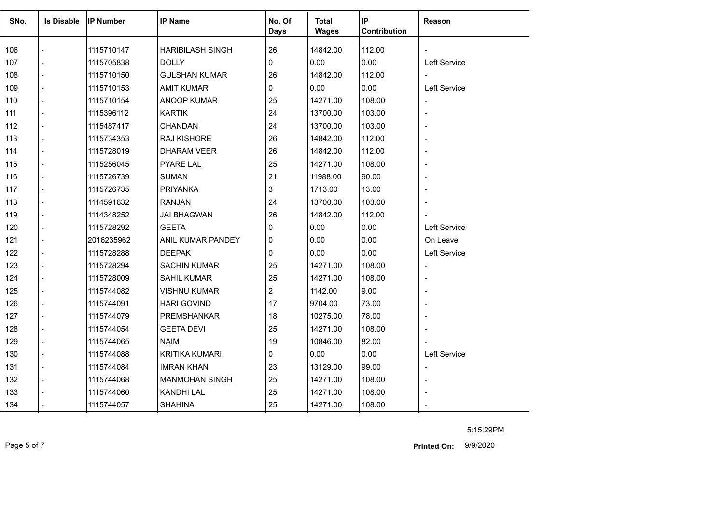| SNo. | <b>Is Disable</b> | <b>IP Number</b> | <b>IP Name</b>          | No. Of<br><b>Days</b> | <b>Total</b><br><b>Wages</b> | IP<br>Contribution | Reason                   |
|------|-------------------|------------------|-------------------------|-----------------------|------------------------------|--------------------|--------------------------|
|      |                   |                  |                         |                       |                              |                    |                          |
| 106  |                   | 1115710147       | <b>HARIBILASH SINGH</b> | 26                    | 14842.00                     | 112.00             |                          |
| 107  |                   | 1115705838       | <b>DOLLY</b>            | 0                     | 0.00                         | 0.00               | Left Service             |
| 108  |                   | 1115710150       | <b>GULSHAN KUMAR</b>    | 26                    | 14842.00                     | 112.00             | $\blacksquare$           |
| 109  |                   | 1115710153       | <b>AMIT KUMAR</b>       | 0                     | 0.00                         | 0.00               | Left Service             |
| 110  |                   | 1115710154       | ANOOP KUMAR             | 25                    | 14271.00                     | 108.00             |                          |
| 111  |                   | 1115396112       | <b>KARTIK</b>           | 24                    | 13700.00                     | 103.00             | $\overline{\phantom{a}}$ |
| 112  |                   | 1115487417       | <b>CHANDAN</b>          | 24                    | 13700.00                     | 103.00             |                          |
| 113  | $\overline{a}$    | 1115734353       | RAJ KISHORE             | 26                    | 14842.00                     | 112.00             |                          |
| 114  |                   | 1115728019       | <b>DHARAM VEER</b>      | 26                    | 14842.00                     | 112.00             | ٠                        |
| 115  |                   | 1115256045       | <b>PYARE LAL</b>        | 25                    | 14271.00                     | 108.00             |                          |
| 116  |                   | 1115726739       | <b>SUMAN</b>            | 21                    | 11988.00                     | 90.00              |                          |
| 117  |                   | 1115726735       | <b>PRIYANKA</b>         | 3                     | 1713.00                      | 13.00              |                          |
| 118  |                   | 1114591632       | <b>RANJAN</b>           | 24                    | 13700.00                     | 103.00             |                          |
| 119  |                   | 1114348252       | <b>JAI BHAGWAN</b>      | 26                    | 14842.00                     | 112.00             |                          |
| 120  |                   | 1115728292       | <b>GEETA</b>            | 0                     | 0.00                         | 0.00               | Left Service             |
| 121  |                   | 2016235962       | ANIL KUMAR PANDEY       | 0                     | 0.00                         | 0.00               | On Leave                 |
| 122  |                   | 1115728288       | <b>DEEPAK</b>           | 0                     | 0.00                         | 0.00               | Left Service             |
| 123  |                   | 1115728294       | <b>SACHIN KUMAR</b>     | 25                    | 14271.00                     | 108.00             | $\overline{\phantom{a}}$ |
| 124  |                   | 1115728009       | <b>SAHIL KUMAR</b>      | 25                    | 14271.00                     | 108.00             |                          |
| 125  |                   | 1115744082       | <b>VISHNU KUMAR</b>     | 2                     | 1142.00                      | 9.00               |                          |
| 126  |                   | 1115744091       | <b>HARI GOVIND</b>      | 17                    | 9704.00                      | 73.00              | $\blacksquare$           |
| 127  |                   | 1115744079       | PREMSHANKAR             | 18                    | 10275.00                     | 78.00              |                          |
| 128  |                   | 1115744054       | <b>GEETA DEVI</b>       | 25                    | 14271.00                     | 108.00             |                          |
| 129  |                   | 1115744065       | <b>NAIM</b>             | 19                    | 10846.00                     | 82.00              |                          |
| 130  |                   | 1115744088       | <b>KRITIKA KUMARI</b>   | 0                     | 0.00                         | 0.00               | Left Service             |
| 131  |                   | 1115744084       | <b>IMRAN KHAN</b>       | 23                    | 13129.00                     | 99.00              | $\blacksquare$           |
| 132  |                   | 1115744068       | <b>MANMOHAN SINGH</b>   | 25                    | 14271.00                     | 108.00             | $\overline{\phantom{a}}$ |
| 133  |                   | 1115744060       | <b>KANDHI LAL</b>       | 25                    | 14271.00                     | 108.00             |                          |
| 134  |                   | 1115744057       | <b>SHAHINA</b>          | 25                    | 14271.00                     | 108.00             |                          |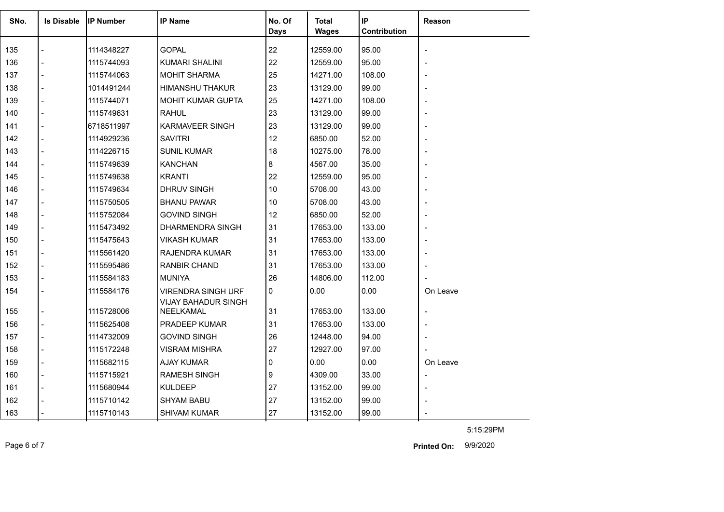| SNo. | <b>Is Disable</b> | <b>IIP Number</b> | <b>IP Name</b>                                          | No. Of      | Total        | IP           | Reason   |
|------|-------------------|-------------------|---------------------------------------------------------|-------------|--------------|--------------|----------|
|      |                   |                   |                                                         | <b>Days</b> | <b>Wages</b> | Contribution |          |
| 135  |                   | 1114348227        | <b>GOPAL</b>                                            | 22          | 12559.00     | 95.00        |          |
| 136  |                   | 1115744093        | <b>KUMARI SHALINI</b>                                   | 22          | 12559.00     | 95.00        |          |
| 137  |                   | 1115744063        | <b>MOHIT SHARMA</b>                                     | 25          | 14271.00     | 108.00       |          |
| 138  |                   | 1014491244        | <b>HIMANSHU THAKUR</b>                                  | 23          | 13129.00     | 99.00        |          |
| 139  |                   | 1115744071        | MOHIT KUMAR GUPTA                                       | 25          | 14271.00     | 108.00       |          |
| 140  |                   | 1115749631        | <b>RAHUL</b>                                            | 23          | 13129.00     | 99.00        |          |
| 141  |                   | 6718511997        | <b>KARMAVEER SINGH</b>                                  | 23          | 13129.00     | 99.00        |          |
| 142  |                   | 1114929236        | <b>SAVITRI</b>                                          | 12          | 6850.00      | 52.00        |          |
| 143  |                   | 1114226715        | <b>SUNIL KUMAR</b>                                      | 18          | 10275.00     | 78.00        |          |
| 144  |                   | 1115749639        | <b>KANCHAN</b>                                          | 8           | 4567.00      | 35.00        |          |
| 145  |                   | 1115749638        | <b>KRANTI</b>                                           | 22          | 12559.00     | 95.00        |          |
| 146  |                   | 1115749634        | DHRUV SINGH                                             | 10          | 5708.00      | 43.00        |          |
| 147  |                   | 1115750505        | <b>BHANU PAWAR</b>                                      | 10          | 5708.00      | 43.00        |          |
| 148  |                   | 1115752084        | <b>GOVIND SINGH</b>                                     | 12          | 6850.00      | 52.00        |          |
| 149  |                   | 1115473492        | DHARMENDRA SINGH                                        | 31          | 17653.00     | 133.00       |          |
| 150  |                   | 1115475643        | <b>VIKASH KUMAR</b>                                     | 31          | 17653.00     | 133.00       |          |
| 151  |                   | 1115561420        | RAJENDRA KUMAR                                          | 31          | 17653.00     | 133.00       |          |
| 152  |                   | 1115595486        | <b>RANBIR CHAND</b>                                     | 31          | 17653.00     | 133.00       |          |
| 153  |                   | 1115584183        | <b>MUNIYA</b>                                           | 26          | 14806.00     | 112.00       |          |
| 154  |                   | 1115584176        | <b>VIRENDRA SINGH URF</b><br><b>VIJAY BAHADUR SINGH</b> | 0           | 0.00         | 0.00         | On Leave |
| 155  |                   | 1115728006        | NEELKAMAL                                               | 31          | 17653.00     | 133.00       |          |
| 156  |                   | 1115625408        | PRADEEP KUMAR                                           | 31          | 17653.00     | 133.00       |          |
| 157  |                   | 1114732009        | <b>GOVIND SINGH</b>                                     | 26          | 12448.00     | 94.00        |          |
| 158  |                   | 1115172248        | VISRAM MISHRA                                           | 27          | 12927.00     | 97.00        |          |
| 159  |                   | 1115682115        | <b>AJAY KUMAR</b>                                       | $\Omega$    | 0.00         | 0.00         | On Leave |
| 160  |                   | 1115715921        | <b>RAMESH SINGH</b>                                     | 9           | 4309.00      | 33.00        |          |
| 161  |                   | 1115680944        | <b>KULDEEP</b>                                          | 27          | 13152.00     | 99.00        |          |
| 162  |                   | 1115710142        | <b>SHYAM BABU</b>                                       | 27          | 13152.00     | 99.00        |          |
| 163  |                   | 1115710143        | <b>SHIVAM KUMAR</b>                                     | 27          | 13152.00     | 99.00        |          |